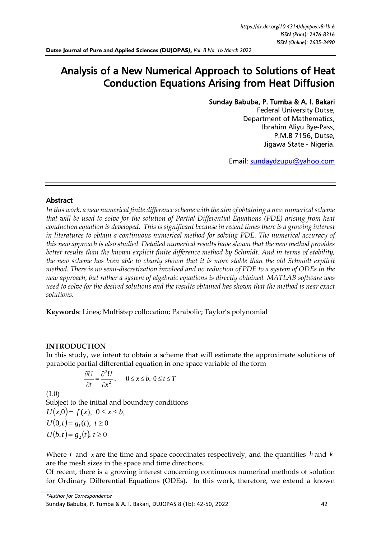# Analysis of a New Numerical Approach to Solutions of Heat Conduction Equations Arising from Heat Diffusion

# Sunday Babuba, P. Tumba & A. I. Bakari

Federal University Dutse, Department of Mathematics, Ibrahim Aliyu Bye-Pass, P.M.B 7156, Dutse, Jigawa State - Nigeria.

Email: [sundaydzupu@yahoo.com](mailto:sundaydzupu@yahoo.com)

## Abstract

*In this work, a new numerical finite difference scheme with the aim of obtaining a new numerical scheme that will be used to solve for the solution of Partial Differential Equations (PDE) arising from heat conduction equation is developed. This is significant because in recent times there is a growing interest*  in literatures to obtain a continuous numerical method for solving PDE. The numerical accuracy of *this new approach is also studied. Detailed numerical results have shown that the new method provides better results than the known explicit finite difference method by Schmidt. And in terms of stability, the new scheme has been able to clearly shown that it is more stable than the old Schmidt explicit method. There is no semi-discretization involved and no reduction of PDE to a system of ODEs in the new approach, but rather a system of algebraic equations is directly obtained. MATLAB software was used to solve for the desired solutions and the results obtained has shown that the method is near exact solutions.*

**Keywords**: Lines; Multistep collocation; Parabolic; Taylor's polynomial

# **INTRODUCTION**

In this study, we intent to obtain a scheme that will estimate the approximate solutions of parabolic partial differential equation in one space variable of the form

$$
\frac{\partial U}{\partial t} = \frac{\partial^2 U}{\partial x^2}, \qquad 0 \le x \le b, \ 0 \le t \le T
$$

(1.0)

Subject to the initial and boundary conditions  $U(x,0) = f(x), 0 \le x \le b$ ,  $U(0,t) = g_1(t), t \ge 0$  $U(b,t) = g_2(t), t \ge 0$ 

Where  $t$  and  $x$  are the time and space coordinates respectively, and the quantities  $h$  and  $k$ are the mesh sizes in the space and time directions.

Of recent, there is a growing interest concerning continuous numerical methods of solution for Ordinary Differential Equations (ODEs). In this work, therefore, we extend a known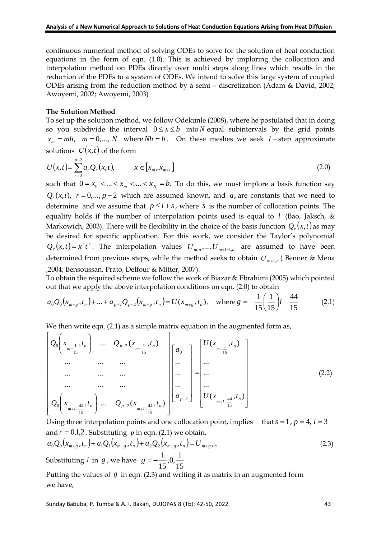continuous numerical method of solving ODEs to solve for the solution of heat conduction equations in the form of eqn. (1.0). This is achieved by imploring the collocation and interpolation method on PDEs directly over multi steps along lines which results in the reduction of the PDEs to a system of ODEs. We intend to solve this large system of coupled ODEs arising from the reduction method by a semi – discretization (Adam & David, 2002; Awoyemi, 2002; Awoyemi, 2003)

#### **The Solution Method**

To set up the solution method, we follow Odekunle (2008), where he postulated that in doing so you subdivide the interval  $0 \le x \le b$  into *N* equal subintervals by the grid points  $x_m = mh$ ,  $m = 0,..., N$  where  $Nh = b$ . On these meshes we seek  $l$  – step approximate solutions  $U(x,t)$  of the form

$$
U(x,t) = \sum_{r=0}^{p-2} a_r Q_r(x,t), \qquad x \in [x_m, x_{m+l}]
$$
\n(2.0)

such that  $0 = x_0 < ... < x_m < ... < x_N = b$ . To do this, we must implore a basis function say  $Q_r(x,t)$ ,  $r = 0,..., p-2$  which are assumed known, and  $a_r$  are constants that we need to determine and we assume that  $p \leq l + s$ , where s is the number of collocation points. The equality holds if the number of interpolation points used is equal to *l* (Bao, Jaksch, & Markowich, 2003). There will be flexibility in the choice of the basis function  $Q_r(x,t)$  as may be desired for specific application. For this work, we consider the Taylor's polynomial  $Q_r(x,t) = x^r t^r$ . The interpolation values  $U_{m,n},...,U_{m+l-1,n}$  are assumed to have been determined from previous steps, while the method seeks to obtain *<sup>U</sup>m*+*l*,*<sup>n</sup>* ( Benner & Mena ,2004; Bensoussan, Prato, Delfour & Mitter, 2007).

To obtain the required scheme we follow the work of Biazar & Ebrahimi (2005) which pointed out that we apply the above interpolation conditions on eqn. (2.0) to obtain

$$
a_0 Q_0(x_{m+g}, t_n) + \dots + a_{p-2} Q_{p-2}(x_{m+g}, t_n) = U(x_{m+g}, t_n), \text{ where } g = -\frac{1}{15} \left(\frac{1}{15}\right)l - \frac{44}{15}
$$
 (2.1)

We then write eqn.  $(2.1)$  as a simple matrix equation in the augmented form as,

$$
\left[\begin{array}{cccc} Q_0\left(x_{m-\frac{1}{15}},t_n\right) & \dots & Q_{p-2}\left(x_{m-\frac{1}{15}},t_n\right) \\ \dots & \dots & \dots \\ \dots & \dots & \dots \\ \dots & \dots & \dots \\ \dots & \dots & \dots \\ Q_0\left(x_{m+l-\frac{44}{15}},t_n\right) & \dots & Q_{p-2}\left(x_{m+l-\frac{44}{15}},t_n\right) \end{array}\right] \left[\begin{array}{c} a_0 \\ \dots \\ \dots \\ a_{p-2} \end{array}\right] = \left[\begin{array}{c} U(x_{m-\frac{1}{15}},t_n) \\ \dots \\ \dots \\ U(x_{m+l-\frac{44}{15}},t_n) \end{array}\right]
$$
\n(2.2)

Using three interpolation points and one collocation point, implies that  $s = 1$ ,  $p = 4$ ,  $l = 3$ and  $r = 0,1,2$ . Substituting  $p$  in eqn. (2.1) we obtain,

$$
a_0 Q_0(x_{m+g}, t_n) + a_1 Q_1(x_{m+g}, t_n) + a_2 Q_2(x_{m+g}, t_n) = U_{m+g},
$$
\n<sup>(2.3)</sup>

Substituting *l* in *g*, we have  $g = -\frac{1}{15}$ , 0,  $\frac{1}{15}$  $\frac{1}{15}$ ,0, $\frac{1}{15}$ *g* <sup>=</sup> <sup>−</sup>

Putting the values of  $g$  in eqn. (2.3) and writing it as matrix in an augmented form we have,

Sunday Babuba, P. Tumba & A. I. Bakari, DUJOPAS 8 (1b): 42-50, 2022 43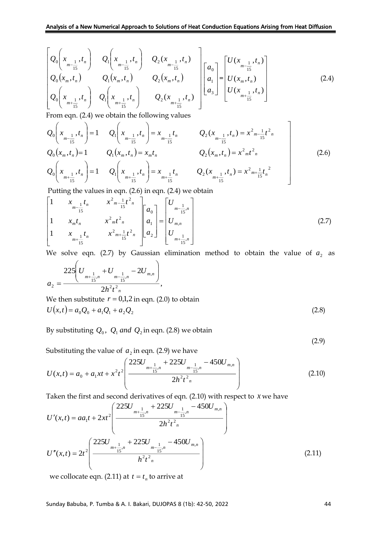$$
\begin{bmatrix}\nQ_0\left(x_{m-\frac{1}{15}},t_n\right) & Q_1\left(x_{m-\frac{1}{15}},t_n\right) & Q_2\left(x_{m-\frac{1}{15}},t_n\right) \\
Q_0\left(x_m,t_n\right) & Q_1\left(x_m,t_n\right) & Q_2\left(x_m,t_n\right) \\
Q_0\left(x_{m+\frac{1}{15}},t_n\right) & Q_1\left(x_{m+\frac{1}{15}},t_n\right) & Q_2\left(x_{m+\frac{1}{15}},t_n\right)\n\end{bmatrix}\n\begin{bmatrix}\na_0 \\
a_1 \\
a_3\n\end{bmatrix}\n=\n\begin{bmatrix}\nU(x_{m-\frac{1}{15}},t_n) \\
U(x_m,t_n) \\
U(x_{m+\frac{1}{15}},t_n)\n\end{bmatrix} (2.4)
$$

From eqn. (2.4) we obtain the following values

$$
Q_{0}\left(x_{m-\frac{1}{15}},t_{n}\right) = 1 \t Q_{1}\left(x_{m-\frac{1}{15}},t_{n}\right) = x_{m-\frac{1}{15}}t_{n} \t Q_{2}\left(x_{m-\frac{1}{15}},t_{n}\right) = x^{2}m-\frac{1}{15}t^{2}n
$$
  
\n
$$
Q_{0}\left(x_{m},t_{n}\right) = 1 \t Q_{1}\left(x_{m},t_{n}\right) = x_{m}t_{n} \t Q_{2}\left(x_{m},t_{n}\right) = x^{2}m^{2}\frac{1}{15}t^{2}n
$$
  
\n
$$
Q_{0}\left(x_{m+\frac{1}{15}},t_{n}\right) = 1 \t Q_{1}\left(x_{m+\frac{1}{15}},t_{n}\right) = x_{m+\frac{1}{15}}t_{n} \t Q_{2}\left(x_{m+\frac{1}{15}},t_{n}\right) = x^{2}m+\frac{1}{15}t_{n}^{2}
$$
  
\n
$$
Q_{1}\left(x_{m+\frac{1}{15}},t_{n}\right) = x_{m+\frac{1}{15}}t_{n} \t Q_{2}\left(x_{m+\frac{1}{15}},t_{n}\right) = x^{2}m+\frac{1}{15}t_{n}^{2}
$$
  
\n
$$
Q_{2}\left(x_{m+\frac{1}{15}},t_{n}\right) = x^{2}m+\frac{1}{15}t^{2}
$$
  
\n(2.6)

Putting the values in eqn. (2.6) in eqn. (2.4) we obtain

$$
\begin{bmatrix} 1 & x_{m-\frac{1}{15}}t_n & x^2m-\frac{1}{15}t^2n \\ 1 & x_mt_n & x^2mt^2n \\ 1 & x_{m+\frac{1}{15}}t_n & x^2m+\frac{1}{15}t^2n \end{bmatrix} \begin{bmatrix} a_0 \\ a_1 \\ a_2 \end{bmatrix} = \begin{bmatrix} U_{m-\frac{1}{15},n} \\ U_{m,n} \\ U_{m+\frac{1}{15},n} \end{bmatrix}
$$
(2.7)

We solve eqn.  $(2.7)$  by Gaussian elimination method to obtain the value of  $a_2$  as

$$
a_2 = \frac{225\left(U_{m+\frac{1}{15},n} + U_{m-\frac{1}{15},n} - 2U_{m,n}\right)}{2h^2t^2_n},
$$
  
We then substitute  $r = 0,1,2$  in eqn. (2.0) to obtain  

$$
U(x,t) = a_0Q_0 + a_1Q_1 + a_2Q_2
$$
 (2.8)

By substituting  $Q_0$ ,  $Q_1$  *and*  $Q_2$  in eqn. (2.8) we obtain

(2.9)

Substituting the value of  $a_2$  in eqn. (2.9) we have

$$
U(x,t) = a_0 + a_1xt + x^2t^2 \left( \frac{225U_{m+\frac{1}{15},n} + 225U_{m-\frac{1}{15},n} - 450U_{m,n}}{2h^2t^2}\right)
$$
(2.10)

Taken the first and second derivatives of eqn. (2.10) with respect to *x* we have

$$
U'(x,t) = aa_1t + 2xt^2 \left( \frac{225U_{m+\frac{1}{15},n} + 225U_{m-\frac{1}{15},n} - 450U_{m,n}}{2h^2t^2 n} \right)
$$
  

$$
U''(x,t) = 2t^2 \left( \frac{225U_{m+\frac{1}{15},n} + 225U_{m-\frac{1}{15},n} - 450U_{m,n}}{h^2t^2 n} \right)
$$
(2.11)

we collocate eqn. (2.11) at  $t = t_n$  to arrive at

Sunday Babuba, P. Tumba & A. I. Bakari, DUJOPAS 8 (1b): 42-50, 2022 44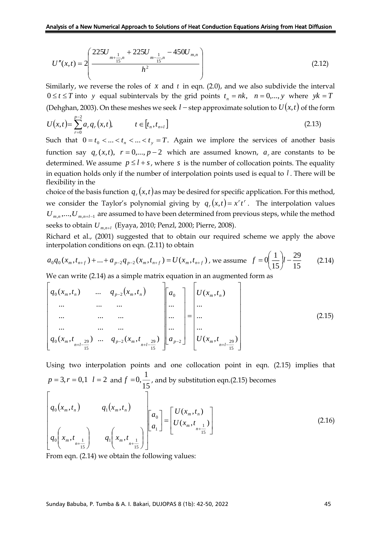$$
U''(x,t) = 2\left(\frac{225U_{m+\frac{1}{15},n} + 225U_{m-\frac{1}{15},n} - 450U_{m,n}}{h^2}\right)
$$
(2.12)

Similarly, we reverse the roles of  $x$  and  $t$  in eqn. (2.0), and we also subdivide the interval  $0 \le t \le T$  into y equal subintervals by the grid points  $t_n = nk$ ,  $n = 0,..., y$  where  $yk = T$ (Dehghan, 2003). On these meshes we seek  $l$  – step approximate solution to  $U(x,t)$  of the form

$$
U(x,t) = \sum_{r=0}^{p-2} a_r q_r(x,t), \qquad t \in [t_n, t_{n+l}]
$$
\n(2.13)

Such that  $0 = t_0 < ... < t_n < ... < t_y = T$ . Again we implore the services of another basis function say  $q_r(x,t)$ ,  $r = 0,..., p-2$  which are assumed known,  $a_r$  are constants to be determined. We assume  $p \leq l + s$ , where s is the number of collocation points. The equality in equation holds only if the number of interpolation points used is equal to *l* . There will be flexibility in the

choice of the basis function  $q_r(x,t)$  as may be desired for specific application. For this method, we consider the Taylor's polynomial giving by  $q_r(x,t) = x^r t^r$ . The interpolation values  $U_{m,n},...,U_{m,n+l-1}$  are assumed to have been determined from previous steps, while the method seeks to obtain *U<sup>m</sup>*,*n*+*<sup>l</sup>* (Eyaya, 2010; Penzl, 2000; Pierre, 2008).

Richard et al., (2001) suggested that to obtain our required scheme we apply the above interpolation conditions on eqn. (2.11) to obtain

$$
a_0 q_0(x_m, t_{n+f}) + ... + a_{p-2} q_{p-2}(x_m, t_{n+f}) = U(x_m, t_{n+f}), \text{ we assume } f = 0 \left(\frac{1}{15}\right)l - \frac{29}{15} \tag{2.14}
$$

We can write (2.14) as a simple matrix equation in an augmented form as

$$
\begin{bmatrix}\n q_0(x_m, t_n) & \dots & q_{p-2}(x_m, t_n) \\
 \dots & \dots & \dots & \dots \\
 \dots & \dots & \dots & \dots \\
 q_0(x_m, t_{n+l-\frac{29}{15}}) & \dots & q_{p-2}(x_m, t_{n+l-\frac{29}{15}})\n\end{bmatrix}\n\begin{bmatrix}\n a_0 \\
 \dots \\
 a_{p-2}\n\end{bmatrix}\n\begin{bmatrix}\n U(x_m, t_n) \\
 \dots \\
 U(x_m, t_{n+l-\frac{29}{15}})\n\end{bmatrix}
$$
\n(2.15)

Using two interpolation points and one collocation point in eqn. (2.15) implies that  $p = 3, r = 0, 1$   $l = 2$  and  $f = 0, \frac{1}{15}$  $f = 0, \frac{1}{16}$ , and by substitution eqn.(2.15) becomes

$$
\begin{bmatrix} q_0(x_m, t_n) & q_1(x_m, t_n) \\ q_0\left(x_m, t_{n+\frac{1}{15}}\right) & q_1\left(x_m, t_{n+\frac{1}{15}}\right) \end{bmatrix} \begin{bmatrix} a_0 \\ a_1 \end{bmatrix} = \begin{bmatrix} U(x_m, t_n) \\ U(x_m, t_{n+\frac{1}{15}}) \end{bmatrix}
$$
(2.16)

From eqn. (2.14) we obtain the following values: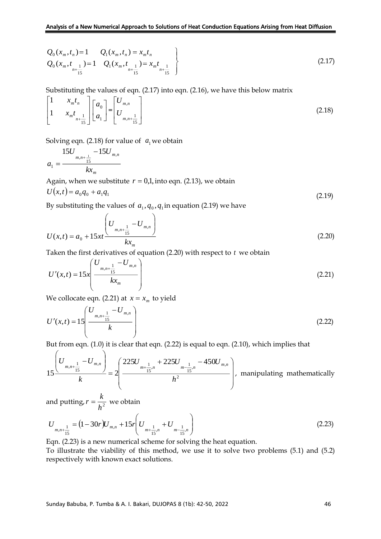$$
Q_0(x_m, t_n) = 1 \t Q_1(x_m, t_n) = x_m t_n
$$
  
\n
$$
Q_0(x_m, t_{n+\frac{1}{15}}) = 1 \t Q_1(x_m, t_{n+\frac{1}{15}}) = x_m t_{n+\frac{1}{15}}
$$
\n(2.17)

Substituting the values of eqn. (2.17) into eqn. (2.16), we have this below matrix

$$
\begin{bmatrix} 1 & x_m t_n \\ 1 & x_m t_{n+\frac{1}{15}} \end{bmatrix} \begin{bmatrix} a_0 \\ a_1 \end{bmatrix} = \begin{bmatrix} U_{m,n} \\ U_{m,n+\frac{1}{15}} \end{bmatrix} \tag{2.18}
$$

Solving eqn.  $(2.18)$  for value of  $a_1$  we obtain

$$
a_1 = \frac{15U_{m,n+\frac{1}{15}} - 15U_{m,n}}{kx_m}
$$

Again, when we substitute  $r = 0,1$ , into eqn. (2.13), we obtain

$$
U(x,t) = a_0 q_0 + a_1 q_1 \tag{2.19}
$$

By substituting the values of  $a_1, q_0, q_1$  in equation (2.19) we have

$$
U(x,t) = a_0 + 15xt \frac{\left(U_{m,n+\frac{1}{15}} - U_{m,n}\right)}{kx_m}
$$
\n(2.20)

Taken the first derivatives of equation (2.20) with respect to *t* we obtain

$$
U'(x,t) = 15x \left( \frac{U_{m,n+\frac{1}{15}} - U_{m,n}}{kx_m} \right)
$$
 (2.21)

We collocate eqn. (2.21) at  $x = x_m$  to yield

$$
U'(x,t) = 15\left(\frac{U_{m,n+\frac{1}{15}} - U_{m,n}}{k}\right)
$$
 (2.22)

But from eqn. (1.0) it is clear that eqn. (2.22) is equal to eqn. (2.10), which implies that

$$
15\frac{\left(U_{m,n+\frac{1}{15}}-U_{m,n}\right)}{k} = 2\left(\frac{225U_{m+\frac{1}{15}n} + 225U_{m-\frac{1}{15}n} - 450U_{m,n}}{h^2}\right),
$$
 manipulating mathematically

and putting,  $r = \frac{h}{h^2}$  $r = \frac{k}{\sqrt{2}}$  we obtain

$$
U_{m,n+\frac{1}{15}} = (1-30r)U_{m,n} + 15r\left(U_{m+\frac{1}{15},n} + U_{m-\frac{1}{15},n}\right)
$$
\n(2.23)

Eqn. (2.23) is a new numerical scheme for solving the heat equation.

To illustrate the viability of this method, we use it to solve two problems (5.1) and (5.2) respectively with known exact solutions.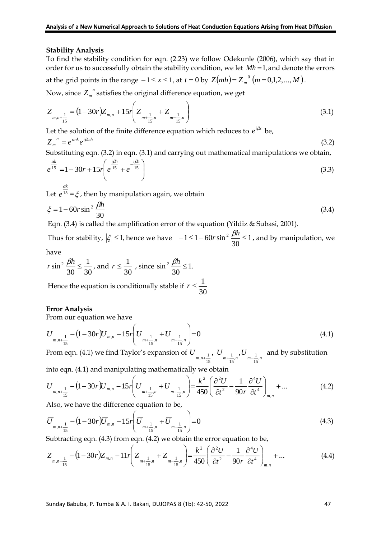#### **Stability Analysis**

To find the stability condition for eqn. (2.23) we follow Odekunle (2006), which say that in order for us to successfully obtain the stability condition, we let *Mh* <sup>=</sup>1, and denote the errors at the grid points in the range  $-1 \le x \le 1$ , at  $t = 0$  by  $Z(mh) = Z_m^{\,0} (m = 0,1,2,...,M)$ .

Now, since  $Z_{m}^{\;\;\;n}$  satisfies the original difference equation, we get

$$
Z_{m,n+\frac{1}{15}} = (1-30r)Z_{m,n} + 15r\left(Z_{m+\frac{1}{15},n} + Z_{m-\frac{1}{15},n}\right)
$$
\n(3.1)

Let the solution of the finite difference equation which reduces to  $e^{i\beta x}$  be,

 $Z_m^{\ \ n} = e^{\alpha n k} e^{i\beta m h}$ (3.2)

Substituting eqn. (3.2) in eqn. (3.1) and carrying out mathematical manipulations we obtain,

$$
e^{\frac{ak}{15}} = 1 - 30r + 15r \left( e^{\frac{i\beta h}{15}} + e^{-\frac{i\beta h}{15}} \right)
$$
 (3.3)

Let  $e^{15}$  $e^{\frac{\alpha}{1}}$  $=\xi$ , then by manipulation again, we obtain

$$
\xi = 1 - 60r \sin^2 \frac{\beta h}{30} \tag{3.4}
$$

Eqn. (3.4) is called the amplification error of the equation (Yildiz & Subasi, 2001).

Thus for stability,  $|\xi| \leq 1$ , hence we have  $-1 \leq 1-60r \sin^2 \frac{P^2}{20} \leq 1$ 30  $-1 \leq 1 - 60r \sin^2 \frac{\beta h}{\lambda} \leq 1$ , and by manipulation, we

have

$$
r\sin^2\frac{\beta h}{30} \le \frac{1}{30}, \text{ and } r \le \frac{1}{30}, \text{ since } \sin^2\frac{\beta h}{30} \le 1.
$$

Hence the equation is conditionally stable if  $r \leq \frac{1}{30}$  $r \leq \frac{1}{\cdot}$ 

#### **Error Analysis**

From our equation we have

$$
U_{m,n+\frac{1}{15}} - (1 - 30r)U_{m,n} - 15r\left(U_{m+\frac{1}{15},n} + U_{m-\frac{1}{15},n}\right) = 0
$$
\n(4.1)

From eqn. (4.1) we find Taylor's expansion of  $U_{m,n+\frac{1}{2}},~U_{m+\frac{1}{2},n},U_{m-\frac{1}{2},n}$ , 15  $\frac{1}{15}$ , n  $\sim m-\frac{1}{15}$ 1 15  $\frac{1}{n^{n+1}}$ ,  $U_{\frac{n-1}{m-1},n}$  and by substitution

into eqn. (4.1) and manipulating mathematically we obtain

$$
U_{m,n+\frac{1}{15}} - (1 - 30r)U_{m,n} - 15r \left( U_{m+\frac{1}{15},n} + U_{m-\frac{1}{15},n} \right) = \frac{k^2}{450} \left( \frac{\partial^2 U}{\partial t^2} - \frac{1}{90r} \frac{\partial^4 U}{\partial t^4} \right)_{m,n} + \dots
$$
(4.2)

Also, we have the difference equation to be,

$$
\overline{U}_{m,n+\frac{1}{15}} - (1-30r)\overline{U}_{m,n} - 15r\left(\overline{U}_{m+\frac{1}{15},n} + \overline{U}_{m-\frac{1}{15},n}\right) = 0
$$
\n(4.3)

Subtracting eqn. (4.3) from eqn. (4.2) we obtain the error equation to be,

$$
Z_{m,n+\frac{1}{15}} - (1-30r)Z_{m,n} - 11r\left(Z_{m+\frac{1}{15},n} + Z_{m-\frac{1}{15},n}\right) = \frac{k^2}{450}\left(\frac{\partial^2 U}{\partial t^2} - \frac{1}{90r}\frac{\partial^4 U}{\partial t^4}\right)_{m,n} + \dots
$$
(4.4)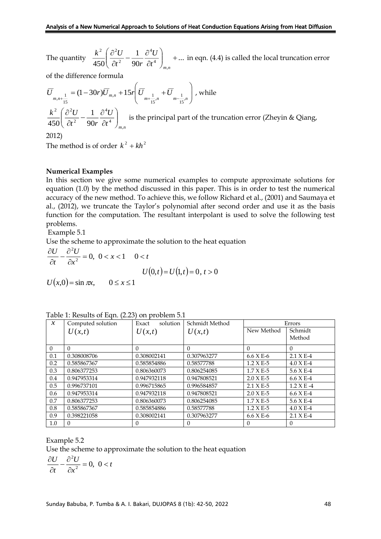The quantity  $\frac{\pi}{450} \left( \frac{\sigma}{\partial t^2} - \frac{1}{90r} \frac{\sigma}{\partial t^4} \right)$  +... 1 450  $\partial t^2$  90r  $\partial t^4$ 4 2 2  $( 2 )$  $\Bigg)_{m,n}$  $\backslash$  $\overline{\phantom{a}}$ J ſ д  $\frac{\partial^2 U}{\partial t^2} - \frac{1}{90r} \frac{\partial^2 U}{\partial x^2}$ д *m n t U t r r*  $\frac{k^2}{k^2} \left( \frac{\partial^2 U}{\partial x^2} - \frac{1}{\partial y^2} \frac{\partial^2 U}{\partial z^4} \right)$  + ... in eqn. (4.4) is called the local truncation error

of the difference formula

$$
\overline{U}_{m,n+\frac{1}{15}} = (1-30r)\overline{U}_{m,n} + 15r \left( \overline{U}_{m+\frac{1}{15},n} + \overline{U}_{m-\frac{1}{15},n} \right), \text{ while}
$$
\n
$$
\frac{k^2}{450} \left( \frac{\partial^2 U}{\partial t^2} - \frac{1}{90r} \frac{\partial^4 U}{\partial t^4} \right)_{m,n} \text{ is the principal part of the truncation error (Zheyin & Qiang, 2012)}
$$

The method is of order  $k^2 + kh^2$ 

## **Numerical Examples**

In this section we give some numerical examples to compute approximate solutions for equation (1.0) by the method discussed in this paper. This is in order to test the numerical accuracy of the new method. To achieve this, we follow Richard et al., (2001) and Saumaya et al., (2012), we truncate the Taylor's polynomial after second order and use it as the basis function for the computation. The resultant interpolant is used to solve the following test problems.

Example 5.1

Use the scheme to approximate the solution to the heat equation

$$
\frac{\partial U}{\partial t} - \frac{\partial^2 U}{\partial x^2} = 0, \quad 0 < x < 1 \quad 0 < t
$$
\n
$$
U(0, t) = U(1, t) = 0, \quad t > 0
$$
\n
$$
U(x, 0) = \sin \pi x, \qquad 0 \le x \le 1
$$

| $\mathcal{X}$ | Computed solution | solution<br>Exact | Schmidt Method | Errors      |               |
|---------------|-------------------|-------------------|----------------|-------------|---------------|
|               | U(x,t)            | U(x,t)            | U(x,t)         | New Method  | Schmidt       |
|               |                   |                   |                |             | Method        |
| $\Omega$      | $\Omega$          | $\theta$          | $\Omega$       | $\Omega$    | $\Omega$      |
| 0.1           | 0.308008706       | 0.308002141       | 0.307963277    | $6.6 X E-6$ | $2.1 X E-4$   |
| 0.2           | 0.585867367       | 0.585854886       | 0.58577788     | $1.2 X E-5$ | $4.0 X E-4$   |
| 0.3           | 0.806377253       | 0.806360073       | 0.806254085    | $1.7 X E-5$ | $5.6 X E-4$   |
| 0.4           | 0.947953314       | 0.947932118       | 0.947808521    | $2.0 X E-5$ | $6.6 X E-4$   |
| 0.5           | 0.996737101       | 0.996715865       | 0.996584857    | $2.1 X E-5$ | $1.2 X E - 4$ |
| 0.6           | 0.947953314       | 0.947932118       | 0.947808521    | $2.0 X E-5$ | $6.6 X E-4$   |
| 0.7           | 0.806377253       | 0.806360073       | 0.806254085    | $1.7 X E-5$ | $5.6 X E-4$   |
| 0.8           | 0.585867367       | 0.585854886       | 0.58577788     | $1.2 X E-5$ | $4.0 X E-4$   |
| 0.9           | 0.398221058       | 0.308002141       | 0.307963277    | $6.6 X E-6$ | $2.1 X E-4$   |
| 1.0           | 0                 | $\left($          | 0              | $\theta$    | $\Omega$      |

Example 5.2 Use the scheme to approximate the solution to the heat equation

$$
\frac{\partial U}{\partial t} - \frac{\partial^2 U}{\partial x^2} = 0, \ 0 < t
$$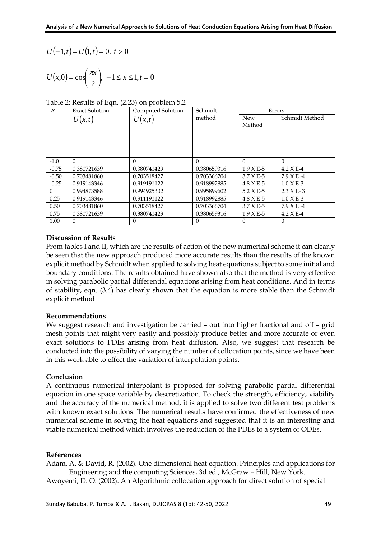$$
U(-1,t) = U(1,t) = 0, t > 0
$$

$$
U(x,0) = \cos\left(\frac{\pi x}{2}\right), \ -1 \le x \le 1, t = 0
$$

#### Table 2: Results of Eqn. (2.23) on problem 5.2

|                            | $U(-1,t) = U(1,t) = 0, t > 0$                                      |                                                                                                                                                                                                                                                                                                                                                                                                                                                                                                                                                                                                                                                                                                                                                             |                         |                       |                         |  |
|----------------------------|--------------------------------------------------------------------|-------------------------------------------------------------------------------------------------------------------------------------------------------------------------------------------------------------------------------------------------------------------------------------------------------------------------------------------------------------------------------------------------------------------------------------------------------------------------------------------------------------------------------------------------------------------------------------------------------------------------------------------------------------------------------------------------------------------------------------------------------------|-------------------------|-----------------------|-------------------------|--|
|                            | $U(x,0) = \cos\left(\frac{\pi x}{2}\right), -1 \le x \le 1, t = 0$ |                                                                                                                                                                                                                                                                                                                                                                                                                                                                                                                                                                                                                                                                                                                                                             |                         |                       |                         |  |
|                            | Table 2: Results of Eqn. (2.23) on problem 5.2                     |                                                                                                                                                                                                                                                                                                                                                                                                                                                                                                                                                                                                                                                                                                                                                             |                         |                       |                         |  |
| $\boldsymbol{\mathcal{X}}$ | <b>Exact Solution</b>                                              | Computed Solution                                                                                                                                                                                                                                                                                                                                                                                                                                                                                                                                                                                                                                                                                                                                           | Schmidt                 | Errors                |                         |  |
|                            | U(x,t)                                                             | U(x,t)                                                                                                                                                                                                                                                                                                                                                                                                                                                                                                                                                                                                                                                                                                                                                      | method                  | New<br>Method         | Schmidt Method          |  |
|                            |                                                                    |                                                                                                                                                                                                                                                                                                                                                                                                                                                                                                                                                                                                                                                                                                                                                             |                         |                       |                         |  |
| $-1.0$                     | $\theta$                                                           | 0                                                                                                                                                                                                                                                                                                                                                                                                                                                                                                                                                                                                                                                                                                                                                           | $\Omega$                | $\theta$              | $\theta$                |  |
| $-0.75$                    | 0.380721639                                                        | 0.380741429                                                                                                                                                                                                                                                                                                                                                                                                                                                                                                                                                                                                                                                                                                                                                 | 0.380659316             | 1.9 X E-5             | 4.2 X E-4               |  |
| $-0.50$                    | 0.703481860                                                        | 0.703518427                                                                                                                                                                                                                                                                                                                                                                                                                                                                                                                                                                                                                                                                                                                                                 | 0.703366704             | 3.7 X E-5             | 7.9 X E -4              |  |
| $-0.25$                    | 0.919143346                                                        | 0.919191122                                                                                                                                                                                                                                                                                                                                                                                                                                                                                                                                                                                                                                                                                                                                                 | 0.918992885             | $4.8$ X E-5           | $1.0$ X E-3             |  |
| $\theta$                   | 0.994873588                                                        | 0.994925302                                                                                                                                                                                                                                                                                                                                                                                                                                                                                                                                                                                                                                                                                                                                                 | 0.995899602             | $5.2$ X E-5           | $2.3 X E-3$             |  |
| 0.25                       | 0.919143346                                                        | 0.911191122                                                                                                                                                                                                                                                                                                                                                                                                                                                                                                                                                                                                                                                                                                                                                 | 0.918992885             | 4.8 X E-5             | $1.0$ X E-3             |  |
| $0.50\,$                   | 0.703481860                                                        | 0.703518427                                                                                                                                                                                                                                                                                                                                                                                                                                                                                                                                                                                                                                                                                                                                                 | 0.703366704             | 3.7 X E-5             | $7.9$ X E <sup>-4</sup> |  |
| 0.75<br>1.00               | 0.380721639<br>$\Omega$                                            | 0.380741429<br>$\Omega$                                                                                                                                                                                                                                                                                                                                                                                                                                                                                                                                                                                                                                                                                                                                     | 0.380659316<br>$\Omega$ | $1.9XE-5$<br>$\Omega$ | 4.2 X E-4<br>$\Omega$   |  |
|                            | explicit method<br>Recommendations                                 | boundary conditions. The results obtained have shown also that the method is very effective<br>in solving parabolic partial differential equations arising from heat conditions. And in terms<br>of stability, eqn. (3.4) has clearly shown that the equation is more stable than the Schmidt<br>We suggest research and investigation be carried - out into higher fractional and off - grid<br>mesh points that might very easily and possibly produce better and more accurate or even<br>exact solutions to PDEs arising from heat diffusion. Also, we suggest that research be<br>conducted into the possibility of varying the number of collocation points, since we have been<br>in this work able to effect the variation of interpolation points. |                         |                       |                         |  |
| Conclusion                 |                                                                    | A continuous numerical interpolant is proposed for solving parabolic partial differential<br>equation in one space variable by descretization. To check the strength, efficiency, viability<br>and the accuracy of the numerical method, it is applied to solve two different test problems<br>with known exact solutions. The numerical results have confirmed the effectiveness of new<br>numerical scheme in solving the heat equations and suggested that it is an interesting and<br>viable numerical method which involves the reduction of the PDEs to a system of ODEs.                                                                                                                                                                             |                         |                       |                         |  |
| References                 |                                                                    | Adam, A. & David, R. (2002). One dimensional heat equation. Principles and applications for<br>Engineering and the computing Sciences, 3d ed., McGraw - Hill, New York.<br>Awoyemi, D. O. (2002). An Algorithmic collocation approach for direct solution of special                                                                                                                                                                                                                                                                                                                                                                                                                                                                                        |                         |                       |                         |  |
|                            |                                                                    | Sunday Babuba, P. Tumba & A. I. Bakari, DUJOPAS 8 (1b): 42-50, 2022                                                                                                                                                                                                                                                                                                                                                                                                                                                                                                                                                                                                                                                                                         |                         |                       | 49                      |  |

## **Discussion of Results**

#### **Recommendations**

## **Conclusion**

## **References**